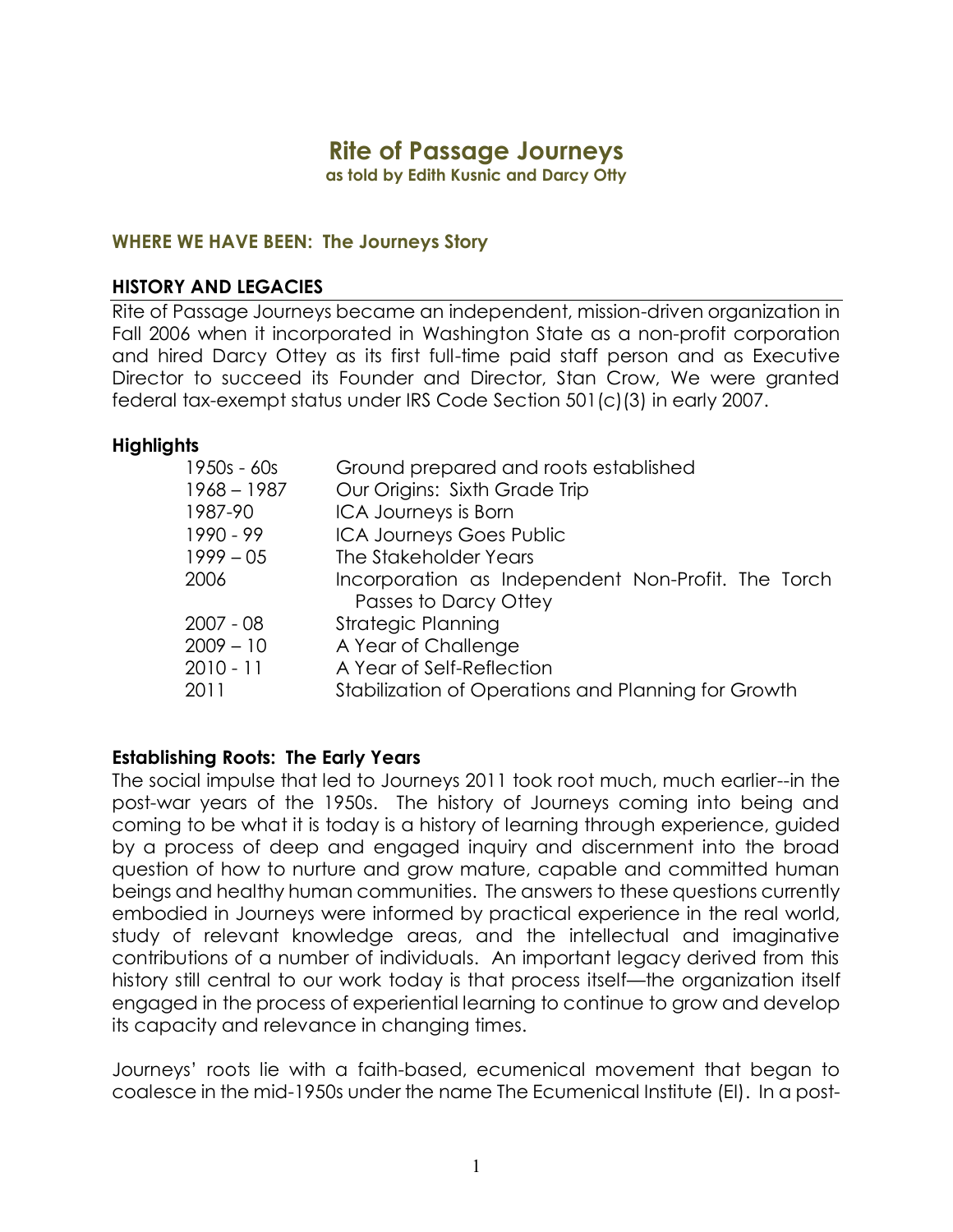# **Rite of Passage Journeys**

**as told by Edith Kusnic and Darcy Otty** 

#### **WHERE WE HAVE BEEN: The Journeys Story**

#### **HISTORY AND LEGACIES**

Rite of Passage Journeys became an independent, mission-driven organization in Fall 2006 when it incorporated in Washington State as a non-profit corporation and hired Darcy Ottey as its first full-time paid staff person and as Executive Director to succeed its Founder and Director, Stan Crow, We were granted federal tax-exempt status under IRS Code Section 501(c)(3) in early 2007.

#### **Highlights**

| Ground prepared and roots established               |
|-----------------------------------------------------|
| Our Origins: Sixth Grade Trip                       |
| ICA Journeys is Born                                |
| <b>ICA Journeys Goes Public</b>                     |
| The Stakeholder Years                               |
| Incorporation as Independent Non-Profit. The Torch  |
| Passes to Darcy Ottey                               |
| <b>Strategic Planning</b>                           |
| A Year of Challenge                                 |
| A Year of Self-Reflection                           |
| Stabilization of Operations and Planning for Growth |
|                                                     |

#### **Establishing Roots: The Early Years**

The social impulse that led to Journeys 2011 took root much, much earlier--in the post-war years of the 1950s. The history of Journeys coming into being and coming to be what it is today is a history of learning through experience, guided by a process of deep and engaged inquiry and discernment into the broad question of how to nurture and grow mature, capable and committed human beings and healthy human communities. The answers to these questions currently embodied in Journeys were informed by practical experience in the real world, study of relevant knowledge areas, and the intellectual and imaginative contributions of a number of individuals. An important legacy derived from this history still central to our work today is that process itself—the organization itself engaged in the process of experiential learning to continue to grow and develop its capacity and relevance in changing times.

Journeys' roots lie with a faith-based, ecumenical movement that began to coalesce in the mid-1950s under the name The Ecumenical Institute (EI). In a post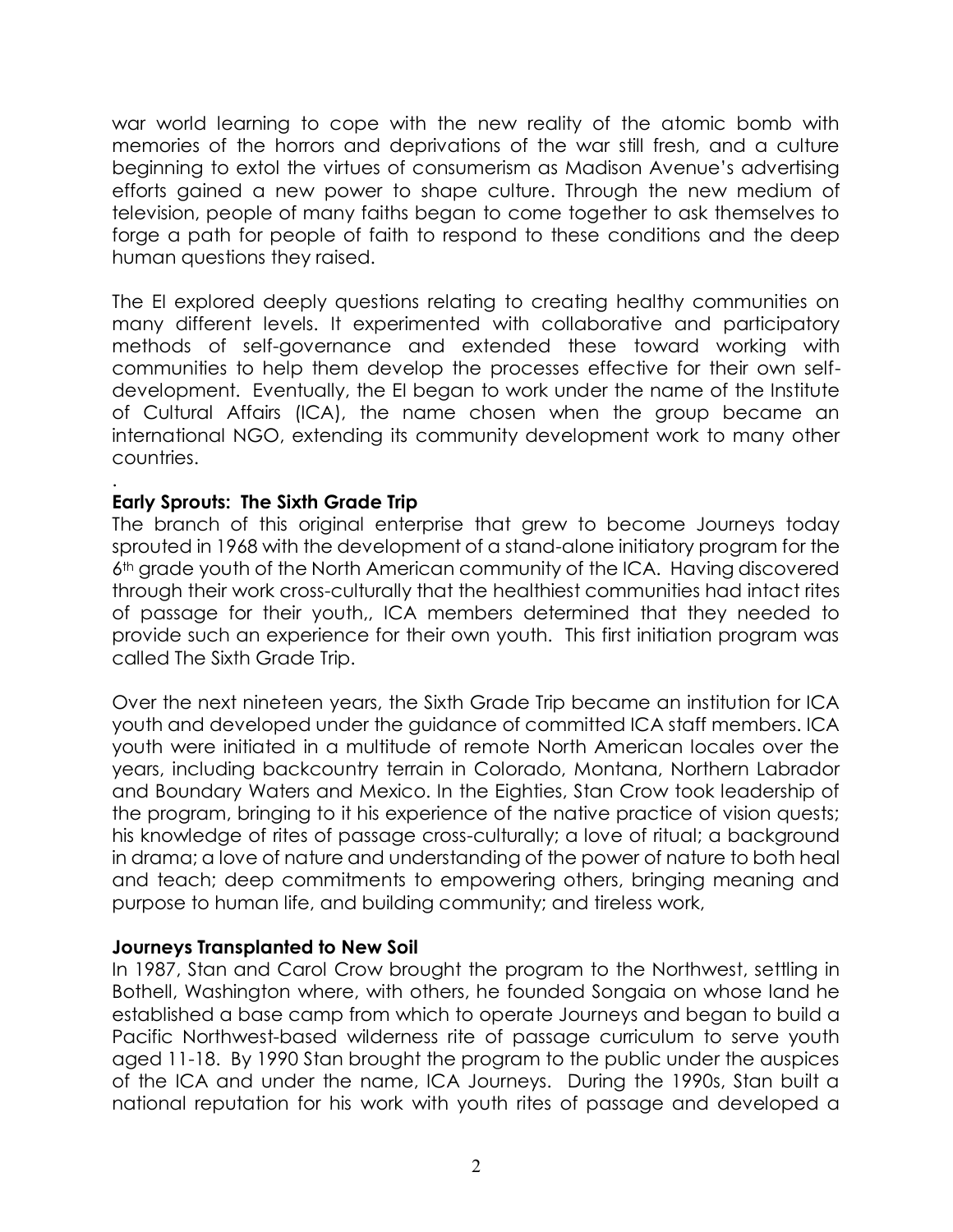war world learning to cope with the new reality of the atomic bomb with memories of the horrors and deprivations of the war still fresh, and a culture beginning to extol the virtues of consumerism as Madison Avenue's advertising efforts gained a new power to shape culture. Through the new medium of television, people of many faiths began to come together to ask themselves to forge a path for people of faith to respond to these conditions and the deep human questions they raised.

The EI explored deeply questions relating to creating healthy communities on many different levels. It experimented with collaborative and participatory methods of self-governance and extended these toward working with communities to help them develop the processes effective for their own selfdevelopment. Eventually, the EI began to work under the name of the Institute of Cultural Affairs (ICA), the name chosen when the group became an international NGO, extending its community development work to many other countries.

## **Early Sprouts: The Sixth Grade Trip**

.

The branch of this original enterprise that grew to become Journeys today sprouted in 1968 with the development of a stand-alone initiatory program for the 6th grade youth of the North American community of the ICA. Having discovered through their work cross-culturally that the healthiest communities had intact rites of passage for their youth,, ICA members determined that they needed to provide such an experience for their own youth. This first initiation program was called The Sixth Grade Trip.

Over the next nineteen years, the Sixth Grade Trip became an institution for ICA youth and developed under the guidance of committed ICA staff members. ICA youth were initiated in a multitude of remote North American locales over the years, including backcountry terrain in Colorado, Montana, Northern Labrador and Boundary Waters and Mexico. In the Eighties, Stan Crow took leadership of the program, bringing to it his experience of the native practice of vision quests; his knowledge of rites of passage cross-culturally; a love of ritual; a background in drama; a love of nature and understanding of the power of nature to both heal and teach; deep commitments to empowering others, bringing meaning and purpose to human life, and building community; and tireless work,

#### **Journeys Transplanted to New Soil**

In 1987, Stan and Carol Crow brought the program to the Northwest, settling in Bothell, Washington where, with others, he founded Songaia on whose land he established a base camp from which to operate Journeys and began to build a Pacific Northwest-based wilderness rite of passage curriculum to serve youth aged 11-18. By 1990 Stan brought the program to the public under the auspices of the ICA and under the name, ICA Journeys. During the 1990s, Stan built a national reputation for his work with youth rites of passage and developed a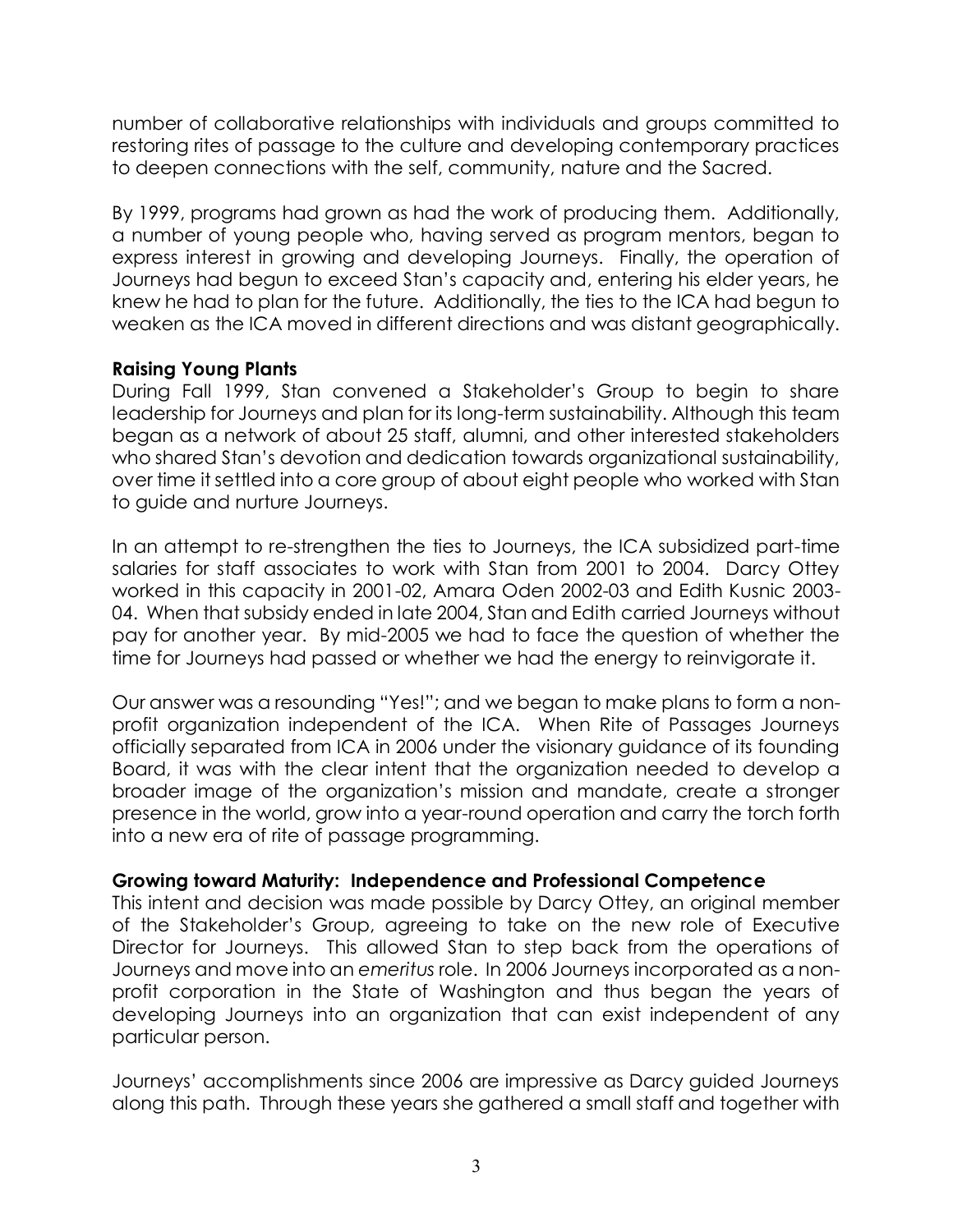number of collaborative relationships with individuals and groups committed to restoring rites of passage to the culture and developing contemporary practices to deepen connections with the self, community, nature and the Sacred.

By 1999, programs had grown as had the work of producing them. Additionally, a number of young people who, having served as program mentors, began to express interest in growing and developing Journeys. Finally, the operation of Journeys had begun to exceed Stan's capacity and, entering his elder years, he knew he had to plan for the future. Additionally, the ties to the ICA had begun to weaken as the ICA moved in different directions and was distant geographically.

## **Raising Young Plants**

During Fall 1999, Stan convened a Stakeholder's Group to begin to share leadership for Journeys and plan for its long-term sustainability. Although this team began as a network of about 25 staff, alumni, and other interested stakeholders who shared Stan's devotion and dedication towards organizational sustainability, over time it settled into a core group of about eight people who worked with Stan to guide and nurture Journeys.

In an attempt to re-strengthen the ties to Journeys, the ICA subsidized part-time salaries for staff associates to work with Stan from 2001 to 2004. Darcy Ottey worked in this capacity in 2001-02, Amara Oden 2002-03 and Edith Kusnic 2003- 04. When that subsidy ended in late 2004, Stan and Edith carried Journeys without pay for another year. By mid-2005 we had to face the question of whether the time for Journeys had passed or whether we had the energy to reinvigorate it.

Our answer was a resounding "Yes!"; and we began to make plans to form a nonprofit organization independent of the ICA. When Rite of Passages Journeys officially separated from ICA in 2006 under the visionary guidance of its founding Board, it was with the clear intent that the organization needed to develop a broader image of the organization's mission and mandate, create a stronger presence in the world, grow into a year-round operation and carry the torch forth into a new era of rite of passage programming.

#### **Growing toward Maturity: Independence and Professional Competence**

This intent and decision was made possible by Darcy Ottey, an original member of the Stakeholder's Group, agreeing to take on the new role of Executive Director for Journeys. This allowed Stan to step back from the operations of Journeys and move into an *emeritus* role. In 2006 Journeys incorporated as a nonprofit corporation in the State of Washington and thus began the years of developing Journeys into an organization that can exist independent of any particular person.

Journeys' accomplishments since 2006 are impressive as Darcy guided Journeys along this path. Through these years she gathered a small staff and together with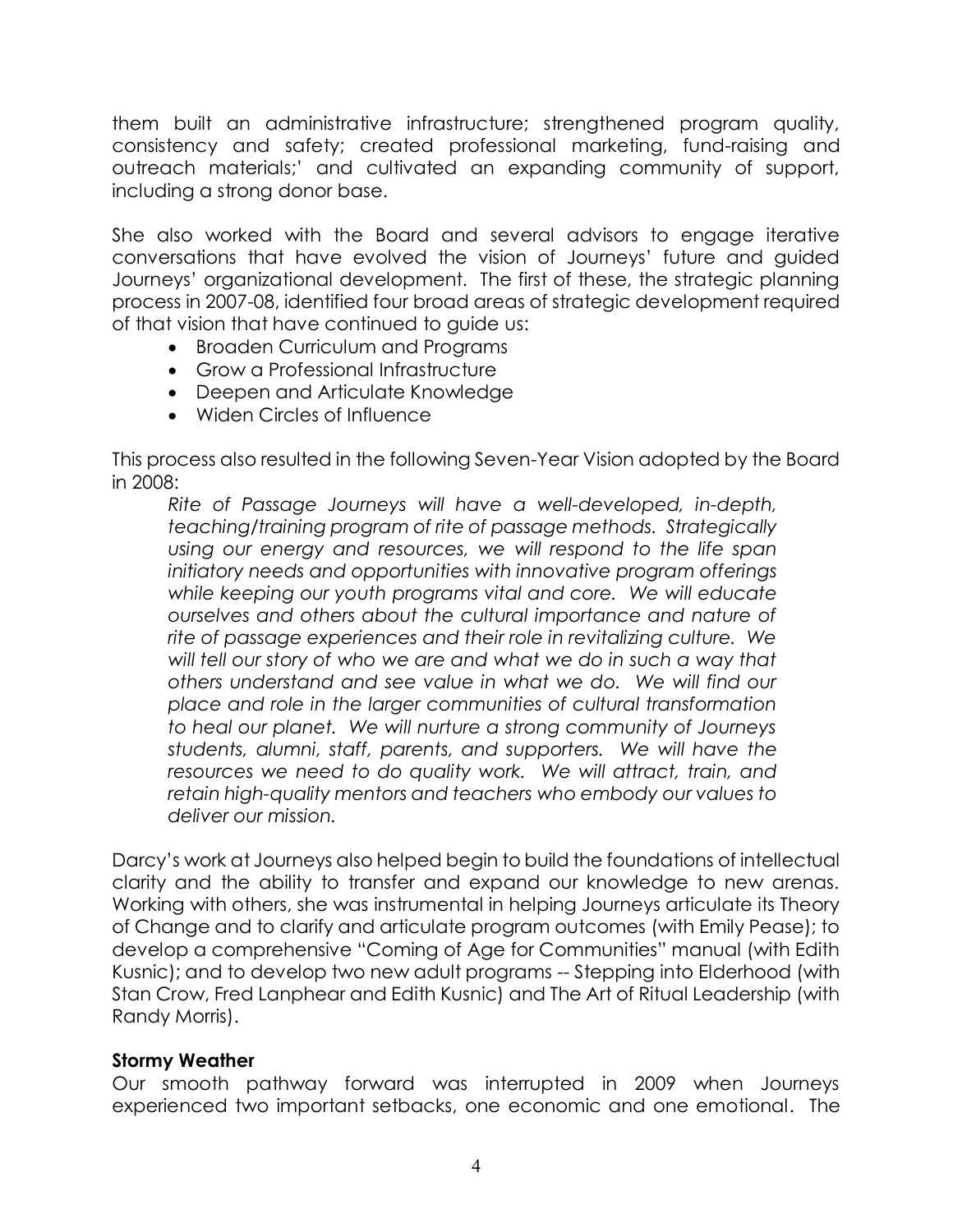them built an administrative infrastructure; strengthened program quality, consistency and safety; created professional marketing, fund-raising and outreach materials;' and cultivated an expanding community of support, including a strong donor base.

She also worked with the Board and several advisors to engage iterative conversations that have evolved the vision of Journeys' future and guided Journeys' organizational development. The first of these, the strategic planning process in 2007-08, identified four broad areas of strategic development required of that vision that have continued to guide us:

- Broaden Curriculum and Programs
- Grow a Professional Infrastructure
- Deepen and Articulate Knowledge
- Widen Circles of Influence

This process also resulted in the following Seven-Year Vision adopted by the Board in 2008:

*Rite of Passage Journeys will have a well-developed, in-depth, teaching/training program of rite of passage methods. Strategically using our energy and resources, we will respond to the life span initiatory needs and opportunities with innovative program offerings while keeping our youth programs vital and core. We will educate ourselves and others about the cultural importance and nature of rite of passage experiences and their role in revitalizing culture. We will tell our story of who we are and what we do in such a way that others understand and see value in what we do. We will find our place and role in the larger communities of cultural transformation to heal our planet. We will nurture a strong community of Journeys students, alumni, staff, parents, and supporters. We will have the resources we need to do quality work. We will attract, train, and retain high-quality mentors and teachers who embody our values to deliver our mission.*

Darcy's work at Journeys also helped begin to build the foundations of intellectual clarity and the ability to transfer and expand our knowledge to new arenas. Working with others, she was instrumental in helping Journeys articulate its Theory of Change and to clarify and articulate program outcomes (with Emily Pease); to develop a comprehensive "Coming of Age for Communities" manual (with Edith Kusnic); and to develop two new adult programs -- Stepping into Elderhood (with Stan Crow, Fred Lanphear and Edith Kusnic) and The Art of Ritual Leadership (with Randy Morris).

#### **Stormy Weather**

Our smooth pathway forward was interrupted in 2009 when Journeys experienced two important setbacks, one economic and one emotional. The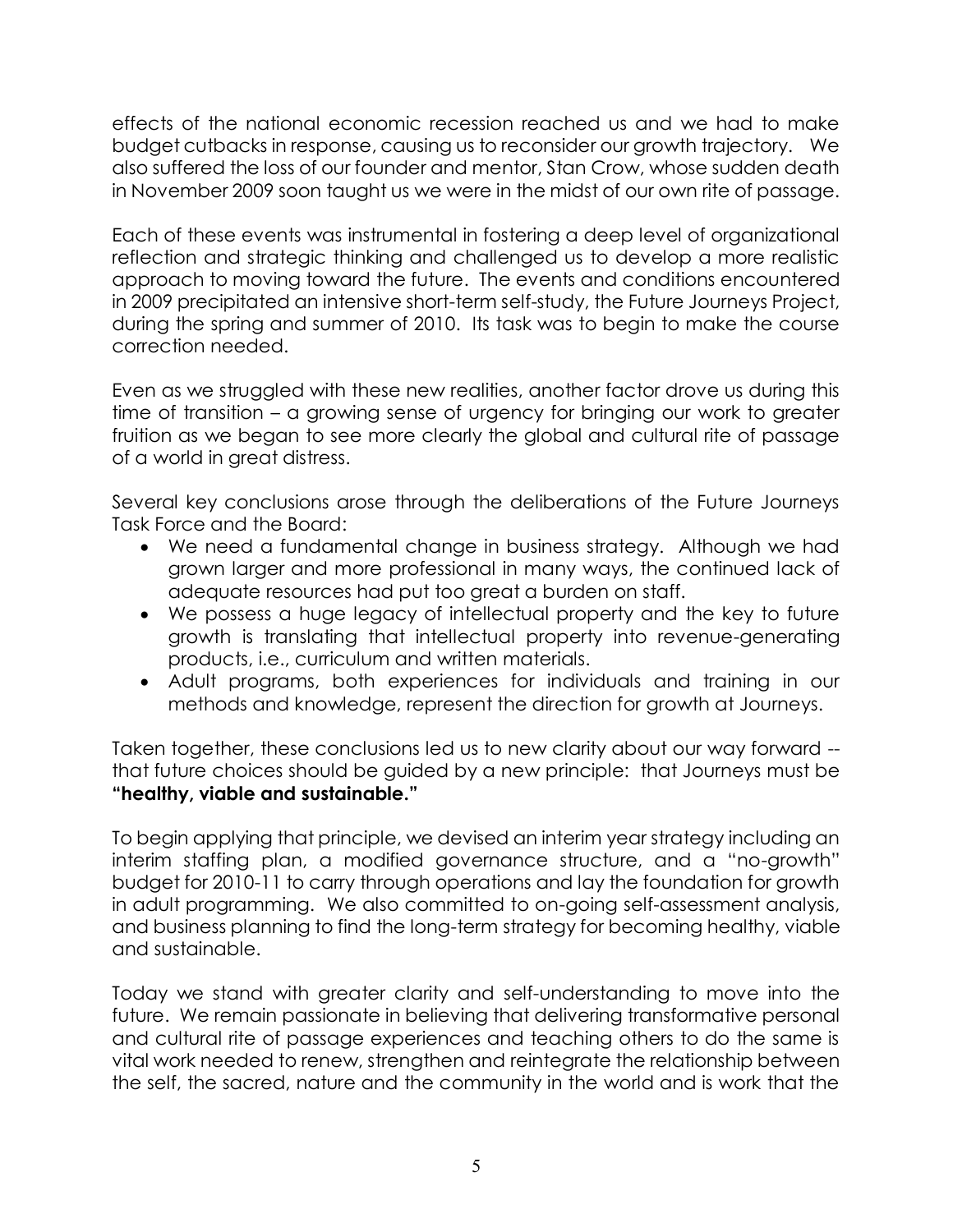effects of the national economic recession reached us and we had to make budget cutbacks in response, causing us to reconsider our growth trajectory. We also suffered the loss of our founder and mentor, Stan Crow, whose sudden death in November 2009 soon taught us we were in the midst of our own rite of passage.

Each of these events was instrumental in fostering a deep level of organizational reflection and strategic thinking and challenged us to develop a more realistic approach to moving toward the future. The events and conditions encountered in 2009 precipitated an intensive short-term self-study, the Future Journeys Project, during the spring and summer of 2010. Its task was to begin to make the course correction needed.

Even as we struggled with these new realities, another factor drove us during this time of transition – a growing sense of urgency for bringing our work to greater fruition as we began to see more clearly the global and cultural rite of passage of a world in great distress.

Several key conclusions arose through the deliberations of the Future Journeys Task Force and the Board:

- We need a fundamental change in business strategy. Although we had grown larger and more professional in many ways, the continued lack of adequate resources had put too great a burden on staff.
- We possess a huge legacy of intellectual property and the key to future growth is translating that intellectual property into revenue-generating products, i.e., curriculum and written materials.
- Adult programs, both experiences for individuals and training in our methods and knowledge, represent the direction for growth at Journeys.

Taken together, these conclusions led us to new clarity about our way forward - that future choices should be guided by a new principle: that Journeys must be **"healthy, viable and sustainable."**

To begin applying that principle, we devised an interim year strategy including an interim staffing plan, a modified governance structure, and a "no-growth" budget for 2010-11 to carry through operations and lay the foundation for growth in adult programming. We also committed to on-going self-assessment analysis, and business planning to find the long-term strategy for becoming healthy, viable and sustainable.

Today we stand with greater clarity and self-understanding to move into the future. We remain passionate in believing that delivering transformative personal and cultural rite of passage experiences and teaching others to do the same is vital work needed to renew, strengthen and reintegrate the relationship between the self, the sacred, nature and the community in the world and is work that the